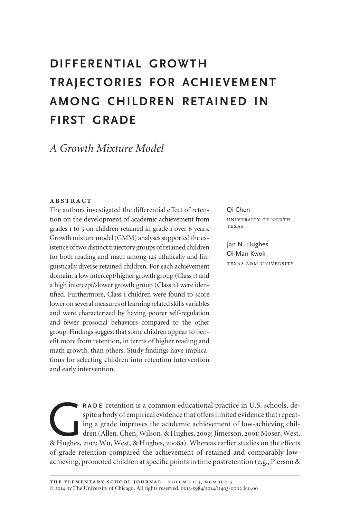# **DIFFERENTIAL GROWTH TRAJECTORIES FOR ACHIEVEMENT AMONG CHILDREN RETAINED IN FIRST GRADE**

# *A Growth Mixture Model*

#### **ABSTRACT**

The authors investigated the differential effect of retention on the development of academic achievement from grades 1 to 5 on children retained in grade 1 over 6 years. Growth mixture model (GMM) analyses supported the existence of two distinct trajectory groups of retained children for both reading and math among 125 ethnically and linguistically diverse retained children. For each achievement domain, a low intercept/higher growth group (Class 1) and a high intercept/slower growth group (Class 2) were identified. Furthermore, Class 1 children were found to score lower on several measures of learning related skills variables and were characterized by having poorer self-regulation and fewer prosocial behaviors compared to the other group. Findings suggest that some children appear to benefit more from retention, in terms of higher reading and math growth, than others. Study findings have implications for selecting children into retention intervention and early intervention.

Qi Chen UNIVERSITY OF NORTH **TEXAS** 

Jan N. Hughes Oi-Man Kwok TEXAS A&M UNIVERSITY

RADE retention is a common educational practice in U.S. schools, despite a body of empirical evidence that offers limited evidence that repeating a grade improves the academic achievement of low-achieving children (Allen, spite a body of empirical evidence that offers limited evidence that repeating a grade improves the academic achievement of low-achieving children (Allen, Chen, Wilson, & Hughes, 2009; Jimerson, 2001; Moser, West, of grade retention compared the achievement of retained and comparably lowachieving, promoted children at specific points in time postretention (e.g., Pierson &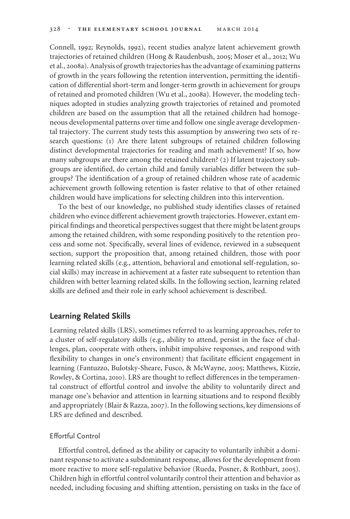Connell, 1992; Reynolds, 1992), recent studies analyze latent achievement growth trajectories of retained children (Hong & Raudenbush, 2005; Moser et al., 2012; Wu et al., 2008a). Analysis of growth trajectories has the advantage of examining patterns of growth in the years following the retention intervention, permitting the identification of differential short-term and longer-term growth in achievement for groups of retained and promoted children (Wu et al., 2008a). However, the modeling techniques adopted in studies analyzing growth trajectories of retained and promoted children are based on the assumption that all the retained children had homogeneous developmental patterns over time and follow one single average developmental trajectory. The current study tests this assumption by answering two sets of research questions: (1) Are there latent subgroups of retained children following distinct developmental trajectories for reading and math achievement? If so, how many subgroups are there among the retained children? (2) If latent trajectory subgroups are identified, do certain child and family variables differ between the subgroups? The identification of a group of retained children whose rate of academic achievement growth following retention is faster relative to that of other retained children would have implications for selecting children into this intervention.

To the best of our knowledge, no published study identifies classes of retained children who evince different achievement growth trajectories. However, extant empirical findings and theoretical perspectives suggest that there might be latent groups among the retained children, with some responding positively to the retention process and some not. Specifically, several lines of evidence, reviewed in a subsequent section, support the proposition that, among retained children, those with poor learning related skills (e.g., attention, behavioral and emotional self-regulation, social skills) may increase in achievement at a faster rate subsequent to retention than children with better learning related skills. In the following section, learning related skills are defined and their role in early school achievement is described.

# **Learning Related Skills**

Learning related skills (LRS), sometimes referred to as learning approaches, refer to a cluster of self-regulatory skills (e.g., ability to attend, persist in the face of challenges, plan, cooperate with others, inhibit impulsive responses, and respond with flexibility to changes in one's environment) that facilitate efficient engagement in learning (Fantuzzo, Bulotsky-Sheare, Fusco, & McWayne, 2005; Matthews, Kizzie, Rowley, & Cortina, 2010). LRS are thought to reflect differences in the temperamental construct of effortful control and involve the ability to voluntarily direct and manage one's behavior and attention in learning situations and to respond flexibly and appropriately (Blair & Razza, 2007). In the following sections, key dimensions of LRS are defined and described.

#### Effortful Control

Effortful control, defined as the ability or capacity to voluntarily inhibit a dominant response to activate a subdominant response, allows for the development from more reactive to more self-regulative behavior (Rueda, Posner, & Rothbart, 2005). Children high in effortful control voluntarily control their attention and behavior as needed, including focusing and shifting attention, persisting on tasks in the face of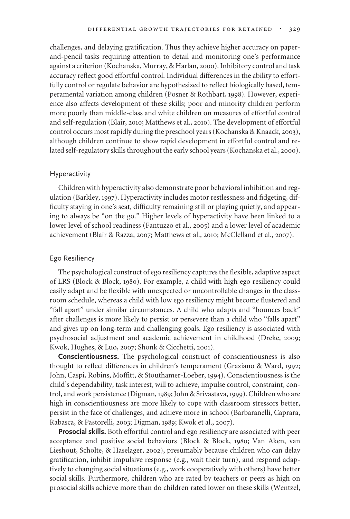challenges, and delaying gratification. Thus they achieve higher accuracy on paperand-pencil tasks requiring attention to detail and monitoring one's performance against a criterion (Kochanska, Murray, & Harlan, 2000). Inhibitory control and task accuracy reflect good effortful control. Individual differences in the ability to effortfully control or regulate behavior are hypothesized to reflect biologically based, temperamental variation among children (Posner & Rothbart, 1998). However, experience also affects development of these skills; poor and minority children perform more poorly than middle-class and white children on measures of effortful control and self-regulation (Blair, 2010; Matthews et al., 2010). The development of effortful control occurs most rapidly during the preschool years (Kochanska & Knaack, 2003), although children continue to show rapid development in effortful control and related self-regulatory skills throughout the early school years (Kochanska et al., 2000).

#### Hyperactivity

Children with hyperactivity also demonstrate poor behavioral inhibition and regulation (Barkley, 1997). Hyperactivity includes motor restlessness and fidgeting, difficulty staying in one's seat, difficulty remaining still or playing quietly, and appearing to always be "on the go." Higher levels of hyperactivity have been linked to a lower level of school readiness (Fantuzzo et al., 2005) and a lower level of academic achievement (Blair & Razza, 2007; Matthews et al., 2010; McClelland et al., 2007).

#### Ego Resiliency

The psychological construct of ego resiliency captures the flexible, adaptive aspect of LRS (Block & Block, 1980). For example, a child with high ego resiliency could easily adapt and be flexible with unexpected or uncontrollable changes in the classroom schedule, whereas a child with low ego resiliency might become flustered and "fall apart" under similar circumstances. A child who adapts and "bounces back" after challenges is more likely to persist or persevere than a child who "falls apart" and gives up on long-term and challenging goals. Ego resiliency is associated with psychosocial adjustment and academic achievement in childhood (Dreke, 2009; Kwok, Hughes, & Luo, 2007; Shonk & Cicchetti, 2001).

**Conscientiousness.** The psychological construct of conscientiousness is also thought to reflect differences in children's temperament (Graziano & Ward, 1992; John, Caspi, Robins, Moffitt, & Stouthamer-Loeber, 1994). Conscientiousness is the child's dependability, task interest, will to achieve, impulse control, constraint, control, and work persistence (Digman,1989; John & Srivastava,1999). Children who are high in conscientiousness are more likely to cope with classroom stressors better, persist in the face of challenges, and achieve more in school (Barbaranelli, Caprara, Rabasca, & Pastorelli, 2003; Digman, 1989; Kwok et al., 2007).

**Prosocial skills.** Both effortful control and ego resiliency are associated with peer acceptance and positive social behaviors (Block & Block, 1980; Van Aken, van Lieshout, Scholte, & Haselager, 2002), presumably because children who can delay gratification, inhibit impulsive response (e.g., wait their turn), and respond adaptively to changing social situations (e.g., work cooperatively with others) have better social skills. Furthermore, children who are rated by teachers or peers as high on prosocial skills achieve more than do children rated lower on these skills (Wentzel,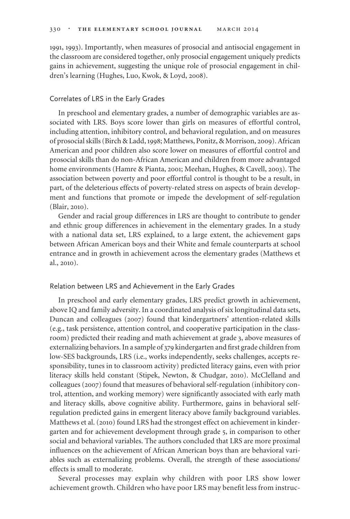1991, 1993). Importantly, when measures of prosocial and antisocial engagement in the classroom are considered together, only prosocial engagement uniquely predicts gains in achievement, suggesting the unique role of prosocial engagement in children's learning (Hughes, Luo, Kwok, & Loyd, 2008).

## Correlates of LRS in the Early Grades

In preschool and elementary grades, a number of demographic variables are associated with LRS. Boys score lower than girls on measures of effortful control, including attention, inhibitory control, and behavioral regulation, and on measures of prosocial skills (Birch & Ladd,1998; Matthews, Ponitz, & Morrison, 2009). African American and poor children also score lower on measures of effortful control and prosocial skills than do non-African American and children from more advantaged home environments (Hamre & Pianta, 2001; Meehan, Hughes, & Cavell, 2003). The association between poverty and poor effortful control is thought to be a result, in part, of the deleterious effects of poverty-related stress on aspects of brain development and functions that promote or impede the development of self-regulation (Blair, 2010).

Gender and racial group differences in LRS are thought to contribute to gender and ethnic group differences in achievement in the elementary grades. In a study with a national data set, LRS explained, to a large extent, the achievement gaps between African American boys and their White and female counterparts at school entrance and in growth in achievement across the elementary grades (Matthews et al., 2010).

#### Relation between LRS and Achievement in the Early Grades

In preschool and early elementary grades, LRS predict growth in achievement, above IQ and family adversity. In a coordinated analysis of six longitudinal data sets, Duncan and colleagues (2007) found that kindergartners' attention-related skills (e.g., task persistence, attention control, and cooperative participation in the classroom) predicted their reading and math achievement at grade 3, above measures of externalizing behaviors. In a sample of 379 kindergarten and first grade children from low-SES backgrounds, LRS (i.e., works independently, seeks challenges, accepts responsibility, tunes in to classroom activity) predicted literacy gains, even with prior literacy skills held constant (Stipek, Newton, & Chudgar, 2010). McClelland and colleagues (2007) found that measures of behavioral self-regulation (inhibitory control, attention, and working memory) were significantly associated with early math and literacy skills, above cognitive ability. Furthermore, gains in behavioral selfregulation predicted gains in emergent literacy above family background variables. Matthews et al. (2010) found LRS had the strongest effect on achievement in kindergarten and for achievement development through grade 5, in comparison to other social and behavioral variables. The authors concluded that LRS are more proximal influences on the achievement of African American boys than are behavioral variables such as externalizing problems. Overall, the strength of these associations/ effects is small to moderate.

Several processes may explain why children with poor LRS show lower achievement growth. Children who have poor LRS may benefit less from instruc-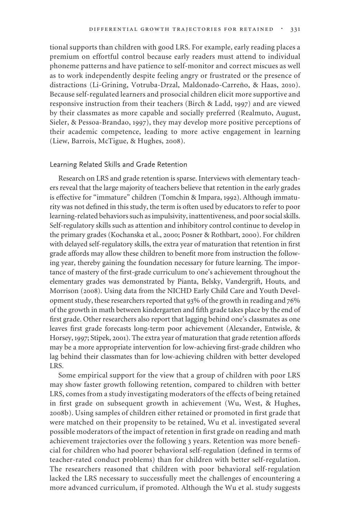tional supports than children with good LRS. For example, early reading places a premium on effortful control because early readers must attend to individual phoneme patterns and have patience to self-monitor and correct miscues as well as to work independently despite feeling angry or frustrated or the presence of distractions (Li-Grining, Votruba-Drzal, Maldonado-Carreño, & Haas, 2010). Because self-regulated learners and prosocial children elicit more supportive and responsive instruction from their teachers (Birch & Ladd, 1997) and are viewed by their classmates as more capable and socially preferred (Realmuto, August, Sieler, & Pessoa-Brandao, 1997), they may develop more positive perceptions of their academic competence, leading to more active engagement in learning (Liew, Barrois, McTigue, & Hughes, 2008).

#### Learning Related Skills and Grade Retention

Research on LRS and grade retention is sparse. Interviews with elementary teachers reveal that the large majority of teachers believe that retention in the early grades is effective for "immature" children (Tomchin & Impara, 1992). Although immaturity was not defined in this study, the term is often used by educators to refer to poor learning-related behaviors such as impulsivity, inattentiveness, and poor social skills. Self-regulatory skills such as attention and inhibitory control continue to develop in the primary grades (Kochanska et al., 2000; Posner & Rothbart, 2000). For children with delayed self-regulatory skills, the extra year of maturation that retention in first grade affords may allow these children to benefit more from instruction the following year, thereby gaining the foundation necessary for future learning. The importance of mastery of the first-grade curriculum to one's achievement throughout the elementary grades was demonstrated by Pianta, Belsky, Vandergrift, Houts, and Morrison (2008). Using data from the NICHD Early Child Care and Youth Development study, these researchers reported that 93% of the growth in reading and 76% of the growth in math between kindergarten and fifth grade takes place by the end of first grade. Other researchers also report that lagging behind one's classmates as one leaves first grade forecasts long-term poor achievement (Alexander, Entwisle, & Horsey, 1997; Stipek, 2001). The extra year of maturation that grade retention affords may be a more appropriate intervention for low-achieving first-grade children who lag behind their classmates than for low-achieving children with better developed LRS.

Some empirical support for the view that a group of children with poor LRS may show faster growth following retention, compared to children with better LRS, comes from a study investigating moderators of the effects of being retained in first grade on subsequent growth in achievement (Wu, West, & Hughes, 2008b). Using samples of children either retained or promoted in first grade that were matched on their propensity to be retained, Wu et al. investigated several possible moderators of the impact of retention in first grade on reading and math achievement trajectories over the following 3 years. Retention was more beneficial for children who had poorer behavioral self-regulation (defined in terms of teacher-rated conduct problems) than for children with better self-regulation. The researchers reasoned that children with poor behavioral self-regulation lacked the LRS necessary to successfully meet the challenges of encountering a more advanced curriculum, if promoted. Although the Wu et al. study suggests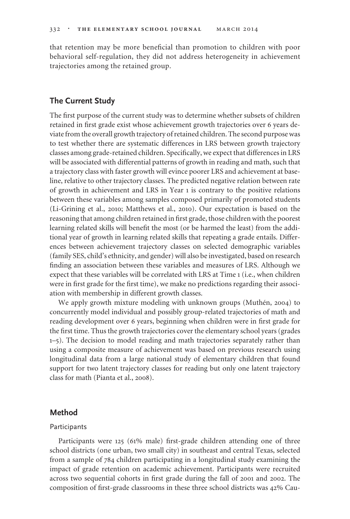that retention may be more beneficial than promotion to children with poor behavioral self-regulation, they did not address heterogeneity in achievement trajectories among the retained group.

# **The Current Study**

The first purpose of the current study was to determine whether subsets of children retained in first grade exist whose achievement growth trajectories over 6 years deviate from the overall growth trajectory of retained children. The second purpose was to test whether there are systematic differences in LRS between growth trajectory classes among grade-retained children. Specifically, we expect that differences in LRS will be associated with differential patterns of growth in reading and math, such that a trajectory class with faster growth will evince poorer LRS and achievement at baseline, relative to other trajectory classes. The predicted negative relation between rate of growth in achievement and LRS in Year 1 is contrary to the positive relations between these variables among samples composed primarily of promoted students (Li-Grining et al., 2010; Matthews et al., 2010). Our expectation is based on the reasoning that among children retained in first grade, those children with the poorest learning related skills will benefit the most (or be harmed the least) from the additional year of growth in learning related skills that repeating a grade entails. Differences between achievement trajectory classes on selected demographic variables (family SES, child's ethnicity, and gender) will also be investigated, based on research finding an association between these variables and measures of LRS. Although we expect that these variables will be correlated with LRS at Time 1 (i.e., when children were in first grade for the first time), we make no predictions regarding their association with membership in different growth classes.

We apply growth mixture modeling with unknown groups (Muthén, 2004) to concurrently model individual and possibly group-related trajectories of math and reading development over 6 years, beginning when children were in first grade for the first time. Thus the growth trajectories cover the elementary school years (grades 1–5). The decision to model reading and math trajectories separately rather than using a composite measure of achievement was based on previous research using longitudinal data from a large national study of elementary children that found support for two latent trajectory classes for reading but only one latent trajectory class for math (Pianta et al., 2008).

# **Method**

#### Participants

Participants were 125 (61% male) first-grade children attending one of three school districts (one urban, two small city) in southeast and central Texas, selected from a sample of 784 children participating in a longitudinal study examining the impact of grade retention on academic achievement. Participants were recruited across two sequential cohorts in first grade during the fall of 2001 and 2002. The composition of first-grade classrooms in these three school districts was 42% Cau-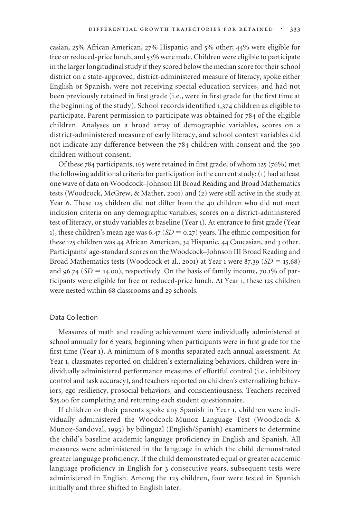casian, 25% African American, 27% Hispanic, and 5% other; 44% were eligible for free or reduced-price lunch, and 53% were male. Children were eligible to participate in the larger longitudinal study if they scored below the median score for their school district on a state-approved, district-administered measure of literacy, spoke either English or Spanish, were not receiving special education services, and had not been previously retained in first grade (i.e., were in first grade for the first time at the beginning of the study). School records identified 1,374 children as eligible to participate. Parent permission to participate was obtained for 784 of the eligible children. Analyses on a broad array of demographic variables, scores on a district-administered measure of early literacy, and school context variables did not indicate any difference between the 784 children with consent and the 590 children without consent.

Of these 784 participants, 165 were retained in first grade, of whom 125 (76%) met the following additional criteria for participation in the current study: (1) had at least one wave of data on Woodcock–Johnson III Broad Reading and Broad Mathematics tests (Woodcock, McGrew, & Mather, 2001) and (2) were still active in the study at Year 6. These 125 children did not differ from the 40 children who did not meet inclusion criteria on any demographic variables, scores on a district-administered test of literacy, or study variables at baseline (Year 1). At entrance to first grade (Year 1), these children's mean age was  $6.47$  (*SD* =  $0.27$ ) years. The ethnic composition for these 125 children was 44 African American, 34 Hispanic, 44 Caucasian, and 3 other. Participants' age-standard scores on the Woodcock–Johnson III Broad Reading and Broad Mathematics tests (Woodcock et al., 2001) at Year 1 were 87.39 (*SD* = 15.68) and 96.74 ( $SD = 14.00$ ), respectively. On the basis of family income, 70.1% of participants were eligible for free or reduced-price lunch. At Year 1, these 125 children were nested within 68 classrooms and 29 schools.

#### Data Collection

Measures of math and reading achievement were individually administered at school annually for 6 years, beginning when participants were in first grade for the first time (Year 1). A minimum of 8 months separated each annual assessment. At Year 1, classmates reported on children's externalizing behaviors, children were individually administered performance measures of effortful control (i.e., inhibitory control and task accuracy), and teachers reported on children's externalizing behaviors, ego resiliency, prosocial behaviors, and conscientiousness. Teachers received \$25.00 for completing and returning each student questionnaire.

If children or their parents spoke any Spanish in Year 1, children were individually administered the Woodcock-Munoz Language Test (Woodcock & Munoz-Sandoval, 1993) by bilingual (English/Spanish) examiners to determine the child's baseline academic language proficiency in English and Spanish. All measures were administered in the language in which the child demonstrated greater language proficiency. If the child demonstrated equal or greater academic language proficiency in English for 3 consecutive years, subsequent tests were administered in English. Among the 125 children, four were tested in Spanish initially and three shifted to English later.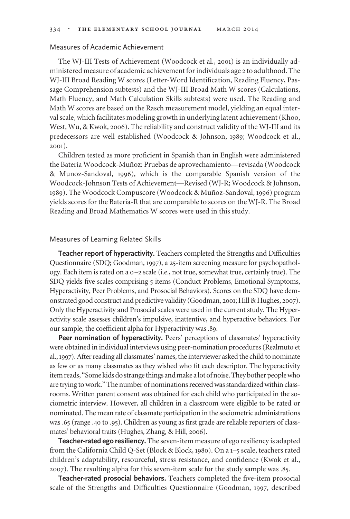## Measures of Academic Achievement

The WJ-III Tests of Achievement (Woodcock et al., 2001) is an individually administered measure of academic achievement for individuals age 2 to adulthood. The WJ-III Broad Reading W scores (Letter-Word Identification, Reading Fluency, Passage Comprehension subtests) and the WJ-III Broad Math W scores (Calculations, Math Fluency, and Math Calculation Skills subtests) were used. The Reading and Math W scores are based on the Rasch measurement model, yielding an equal interval scale, which facilitates modeling growth in underlying latent achievement (Khoo, West, Wu, & Kwok, 2006). The reliability and construct validity of the WJ-III and its predecessors are well established (Woodcock & Johnson, 1989; Woodcock et al., 2001).

Children tested as more proficient in Spanish than in English were administered the Batería Woodcock-Muñoz: Pruebas de aprovechamiento—revisada (Woodcock & Munoz-Sandoval, 1996), which is the comparable Spanish version of the Woodcock-Johnson Tests of Achievement—Revised (WJ-R; Woodcock & Johnson, 1989). The Woodcock Compuscore (Woodcock & Muñoz-Sandoval, 1996) program yields scores for the Batería-R that are comparable to scores on the WJ-R. The Broad Reading and Broad Mathematics W scores were used in this study.

#### Measures of Learning Related Skills

**Teacher report of hyperactivity.** Teachers completed the Strengths and Difficulties Questionnaire (SDQ; Goodman, 1997), a 25-item screening measure for psychopathology. Each item is rated on a 0–2 scale (i.e., not true, somewhat true, certainly true). The SDQ yields five scales comprising 5 items (Conduct Problems, Emotional Symptoms, Hyperactivity, Peer Problems, and Prosocial Behaviors). Scores on the SDQ have demonstrated good construct and predictive validity (Goodman, 2001; Hill & Hughes, 2007). Only the Hyperactivity and Prosocial scales were used in the current study. The Hyperactivity scale assesses children's impulsive, inattentive, and hyperactive behaviors. For our sample, the coefficient alpha for Hyperactivity was .89.

Peer nomination of hyperactivity. Peers' perceptions of classmates' hyperactivity were obtained in individual interviews using peer-nomination procedures (Realmuto et al.,1997). After reading all classmates' names, the interviewer asked the child to nominate as few or as many classmates as they wished who fit each descriptor. The hyperactivity item reads, "Some kids do strange things and make a lot of noise. They bother people who are trying to work." The number of nominations received was standardized within classrooms. Written parent consent was obtained for each child who participated in the sociometric interview. However, all children in a classroom were eligible to be rated or nominated. The mean rate of classmate participation in the sociometric administrations was .65(range .40 to .95). Children as young as first grade are reliable reporters of classmates' behavioral traits (Hughes, Zhang, & Hill, 2006).

**Teacher-rated ego resiliency.** The seven-item measure of ego resiliency is adapted from the California Child Q-Set (Block & Block, 1980). On a 1-5 scale, teachers rated children's adaptability, resourceful, stress resistance, and confidence (Kwok et al., 2007). The resulting alpha for this seven-item scale for the study sample was .85.

**Teacher-rated prosocial behaviors.** Teachers completed the five-item prosocial scale of the Strengths and Difficulties Questionnaire (Goodman, 1997, described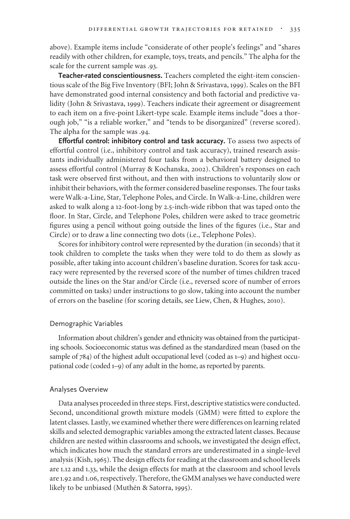above). Example items include "considerate of other people's feelings" and "shares readily with other children, for example, toys, treats, and pencils." The alpha for the scale for the current sample was .93.

**Teacher-rated conscientiousness.** Teachers completed the eight-item conscientious scale of the Big Five Inventory (BFI; John & Srivastava, 1999). Scales on the BFI have demonstrated good internal consistency and both factorial and predictive validity (John & Srivastava, 1999). Teachers indicate their agreement or disagreement to each item on a five-point Likert-type scale. Example items include "does a thorough job," "is a reliable worker," and "tends to be disorganized" (reverse scored). The alpha for the sample was .94.

**Effortful control: inhibitory control and task accuracy.** To assess two aspects of effortful control (i.e., inhibitory control and task accuracy), trained research assistants individually administered four tasks from a behavioral battery designed to assess effortful control (Murray & Kochanska, 2002). Children's responses on each task were observed first without, and then with instructions to voluntarily slow or inhibit their behaviors, with the former considered baseline responses. The four tasks were Walk-a-Line, Star, Telephone Poles, and Circle. In Walk-a-Line, children were asked to walk along a 12-foot-long by 2.5-inch-wide ribbon that was taped onto the floor. In Star, Circle, and Telephone Poles, children were asked to trace geometric figures using a pencil without going outside the lines of the figures (i.e., Star and Circle) or to draw a line connecting two dots (i.e., Telephone Poles).

Scores for inhibitory control were represented by the duration (in seconds) that it took children to complete the tasks when they were told to do them as slowly as possible, after taking into account children's baseline duration. Scores for task accuracy were represented by the reversed score of the number of times children traced outside the lines on the Star and/or Circle (i.e., reversed score of number of errors committed on tasks) under instructions to go slow, taking into account the number of errors on the baseline (for scoring details, see Liew, Chen, & Hughes, 2010).

#### Demographic Variables

Information about children's gender and ethnicity was obtained from the participating schools. Socioeconomic status was defined as the standardized mean (based on the sample of 784) of the highest adult occupational level (coded as 1-9) and highest occupational code (coded 1–9) of any adult in the home, as reported by parents.

#### Analyses Overview

Data analyses proceeded in three steps. First, descriptive statistics were conducted. Second, unconditional growth mixture models (GMM) were fitted to explore the latent classes. Lastly, we examined whether there were differences on learning related skills and selected demographic variables among the extracted latent classes. Because children are nested within classrooms and schools, we investigated the design effect, which indicates how much the standard errors are underestimated in a single-level analysis (Kish, 1965). The design effects for reading at the classroom and school levels are 1.12 and 1.33, while the design effects for math at the classroom and school levels are 1.92 and 1.06, respectively. Therefore, the GMM analyses we have conducted were likely to be unbiased (Muthén & Satorra, 1995).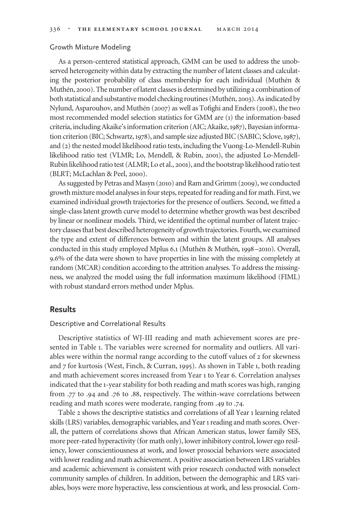#### Growth Mixture Modeling

As a person-centered statistical approach, GMM can be used to address the unobserved heterogeneity within data by extracting the number of latent classes and calculating the posterior probability of class membership for each individual (Muthén & Muthén, 2000). The number of latent classes is determined by utilizing a combination of both statistical and substantive model checking routines (Muthén, 2003). As indicated by Nylund, Asparouhov, and Muthén (2007) as well as Tofighi and Enders (2008), the two most recommended model selection statistics for GMM are (1) the information-based criteria, including Akaike's information criterion (AIC; Akaike,1987), Bayesian information criterion (BIC; Schwartz,1978), and sample size adjusted BIC (SABIC; Sclove,1987), and (2) the nested model likelihood ratio tests, including the Vuong-Lo-Mendell-Rubin likelihood ratio test (VLMR; Lo, Mendell, & Rubin, 2001), the adjusted Lo-Mendell-Rubin likelihood ratio test (ALMR; Lo et al., 2001), and the bootstrap likelihood ratio test (BLRT; McLachlan & Peel, 2000).

As suggested by Petras and Masyn (2010) and Ram and Grimm (2009), we conducted growth mixture model analyses in four steps, repeated for reading and for math. First, we examined individual growth trajectories for the presence of outliers. Second, we fitted a single-class latent growth curve model to determine whether growth was best described by linear or nonlinear models. Third, we identified the optimal number of latent trajectory classes that best described heterogeneity of growth trajectories. Fourth, we examined the type and extent of differences between and within the latent groups. All analyses conducted in this study employed Mplus 6.1 (Muthén & Muthén, 1998–2010). Overall, 9.6% of the data were shown to have properties in line with the missing completely at random (MCAR) condition according to the attrition analyses. To address the missingness, we analyzed the model using the full information maximum likelihood (FIML) with robust standard errors method under Mplus.

# **Results**

#### Descriptive and Correlational Results

Descriptive statistics of WJ-III reading and math achievement scores are presented in Table 1. The variables were screened for normality and outliers. All variables were within the normal range according to the cutoff values of 2 for skewness and 7 for kurtosis (West, Finch, & Curran, 1995). As shown in Table 1, both reading and math achievement scores increased from Year 1 to Year 6. Correlation analyses indicated that the 1-year stability for both reading and math scores was high, ranging from .77 to .94 and .76 to .88, respectively. The within-wave correlations between reading and math scores were moderate, ranging from .49 to .74.

Table 2 shows the descriptive statistics and correlations of all Year 1 learning related skills (LRS) variables, demographic variables, and Year 1 reading and math scores. Overall, the pattern of correlations shows that African American status, lower family SES, more peer-rated hyperactivity (for math only), lower inhibitory control, lower ego resiliency, lower conscientiousness at work, and lower prosocial behaviors were associated with lower reading and math achievement. A positive association between LRS variables and academic achievement is consistent with prior research conducted with nonselect community samples of children. In addition, between the demographic and LRS variables, boys were more hyperactive, less conscientious at work, and less prosocial. Com-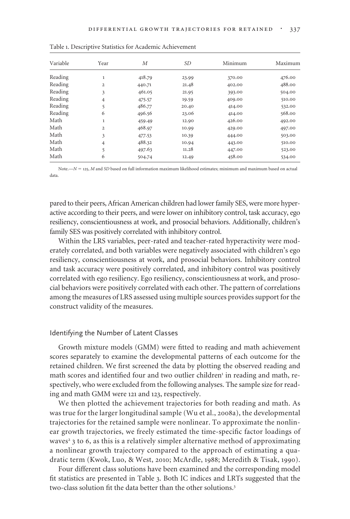| Variable | Year           | М      | SD    | Minimum | Maximum |
|----------|----------------|--------|-------|---------|---------|
| Reading  | $\mathbf{1}$   | 418.79 | 23.99 | 370.00  | 476.00  |
| Reading  | 2              | 440.71 | 21.48 | 402.00  | 488.00  |
| Reading  | 3              | 461.05 | 21.95 | 393.00  | 504.00  |
| Reading  | 4              | 475.57 | 19.59 | 409.00  | 510.00  |
| Reading  | 5              | 486.77 | 20.40 | 414.00  | 532.00  |
| Reading  | 6              | 496.56 | 23.06 | 414.00  | 568.00  |
| Math     | $\mathbf 1$    | 459.49 | 12.90 | 426.00  | 492.00  |
| Math     | $\overline{2}$ | 468.97 | 10.99 | 429.00  | 497.00  |
| Math     | 3              | 477.53 | 10.39 | 444.00  | 503.00  |
| Math     | 4              | 488.32 | 10.94 | 443.00  | 510.00  |
| Math     | 5              | 497.63 | 11.28 | 447.00  | 523.00  |
| Math     | 6              | 504.74 | 12.49 | 458.00  | 534.00  |
|          |                |        |       |         |         |

Table 1. Descriptive Statistics for Academic Achievement

Note.—*N* = 125, *M* and *SD* based on full information maximum likelihood estimates; minimum and maximum based on actual data.

pared to their peers, African American children had lower family SES, were more hyperactive according to their peers, and were lower on inhibitory control, task accuracy, ego resiliency, conscientiousness at work, and prosocial behaviors. Additionally, children's family SES was positively correlated with inhibitory control.

Within the LRS variables, peer-rated and teacher-rated hyperactivity were moderately correlated, and both variables were negatively associated with children's ego resiliency, conscientiousness at work, and prosocial behaviors. Inhibitory control and task accuracy were positively correlated, and inhibitory control was positively correlated with ego resiliency. Ego resiliency, conscientiousness at work, and prosocial behaviors were positively correlated with each other. The pattern of correlations among the measures of LRS assessed using multiple sources provides support for the construct validity of the measures.

#### Identifying the Number of Latent Classes

Growth mixture models (GMM) were fitted to reading and math achievement scores separately to examine the developmental patterns of each outcome for the retained children. We first screened the data by plotting the observed reading and math scores and identified four and two outlier children<sup>1</sup> in reading and math, respectively, who were excluded from the following analyses. The sample size for reading and math GMM were 121 and 123, respectively.

We then plotted the achievement trajectories for both reading and math. As was true for the larger longitudinal sample (Wu et al., 2008a), the developmental trajectories for the retained sample were nonlinear. To approximate the nonlinear growth trajectories, we freely estimated the time-specific factor loadings of waves<sup>2</sup> 3 to 6, as this is a relatively simpler alternative method of approximating a nonlinear growth trajectory compared to the approach of estimating a quadratic term (Kwok, Luo, & West, 2010; McArdle, 1988; Meredith & Tisak, 1990).

Four different class solutions have been examined and the corresponding model fit statistics are presented in Table 3. Both IC indices and LRTs suggested that the two-class solution fit the data better than the other solutions.<sup>3</sup>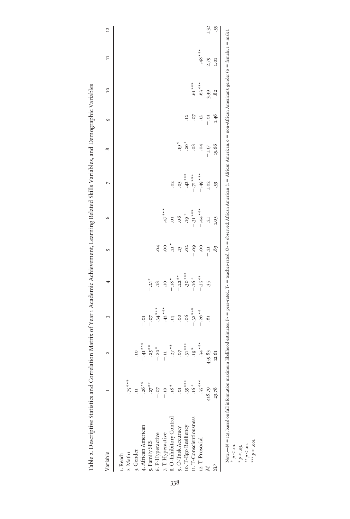| Variable                |                 |                      | 3              | 4          |                       | ৩              |         | ∞                     | ᢦ               | $\overline{a}$  | Ξ       | $\overline{12}$ |
|-------------------------|-----------------|----------------------|----------------|------------|-----------------------|----------------|---------|-----------------------|-----------------|-----------------|---------|-----------------|
| 1. Readı                |                 |                      |                |            |                       |                |         |                       |                 |                 |         |                 |
| 2. Math1                | $75***$         |                      |                |            |                       |                |         |                       |                 |                 |         |                 |
| 3. Gender               |                 | $\ddot{=}$           |                |            |                       |                |         |                       |                 |                 |         |                 |
| 4. African American     | $-.26**$        | $-4**+(-1)$          | $-0.1$         |            |                       |                |         |                       |                 |                 |         |                 |
| 5. Family SES           | $.27**$         | $3.25$ <sup>**</sup> | $-0.7$         | $-21*$     |                       |                |         |                       |                 |                 |         |                 |
| 6. P-Hyperactive        |                 | $-.20*$              | $.34***$       | $\,$ -81.  | $\ddot{\circ}$        |                |         |                       |                 |                 |         |                 |
| 7. T-Hyperactive        | $-10$           | $\frac{11}{1}$       | $.42***$       | $\ddot{ }$ | $\overline{0}$        |                |         |                       |                 |                 |         |                 |
| 8. O-Inhibitory Control | $\overline{18}$ | $.27**$              | $\ddot{z}$     | $-18*$     | $\cdot$ 21 $^{\star}$ | ō.             | .02     |                       |                 |                 |         |                 |
| 9. O-Task Accuracy      |                 | $\overline{c}$ .     | $\overline{0}$ | $-32.2$    | $\ddot{.}$            | 00             | $\zeta$ | $\sum_{i=1}^{k}$      |                 |                 |         |                 |
| 10. T-Ego Resiliency    | $.35***$        | $.31***$             | $-0.06$        | $-30**$    | $-.02$                | $-1.9 +$       | $-42**$ | $.20*$                | $\overline{12}$ |                 |         |                 |
| 11. T-Conscientiousness | $16 +$          | $\check{q}$          | $-32***$       | $-1.16 +$  | $-0.09$               | $-31***$       | $-77$   | $08$ .                | <b>CO</b> .     | $.61***$        |         |                 |
| 12. T-Prosocial         | $.35***$        | $$ 34**              | $-0.26$        | $-.35***$  | $\ddot{\circ}$        | $-44$          | $-49$   | $\cdot$ <sup>04</sup> | $\ddot{1}$      | $.63***$        | $48***$ |                 |
|                         | 418.79          | 459.83               | $\ddot{\circ}$ | Ş.         | $-21$                 | $\overline{c}$ | 1.02    | $-1.17\,$             | $-0.01$         | 3.39            | 2.79    | 1.32            |
| <b>GS</b>               | 23.78           | 12.61                |                |            | .83                   | 1.05           | 59      | 15.66                 | 1.46            | $\overline{82}$ | 1.01    | 55              |

338

*p* < .10.<br>\* *p* < .05.<br>\*\* *p* < .01.

\*\*\*  $p < .001$ .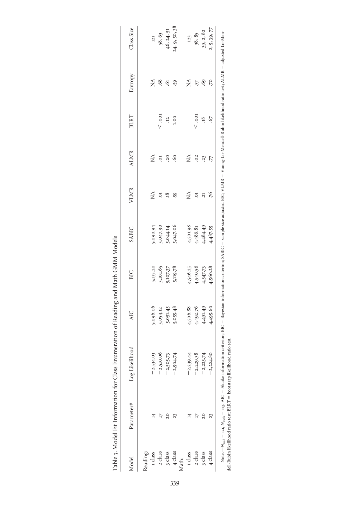| $\frac{100}{100}$<br>$\ddot{c}$<br>₹<br>$\overline{c}$<br>ō.<br>₹<br>$\overline{18}$<br>ą                                                                                                                                                  | ₹<br>68        | $58, 63$<br>46, 24, 51<br>121 |
|--------------------------------------------------------------------------------------------------------------------------------------------------------------------------------------------------------------------------------------------|----------------|-------------------------------|
|                                                                                                                                                                                                                                            |                |                               |
|                                                                                                                                                                                                                                            |                |                               |
|                                                                                                                                                                                                                                            |                |                               |
|                                                                                                                                                                                                                                            | $\ddot{\circ}$ |                               |
| 1.00<br>.60<br>59                                                                                                                                                                                                                          | 59             | 24, 9, 50, 38                 |
|                                                                                                                                                                                                                                            |                |                               |
| ₹<br>₹                                                                                                                                                                                                                                     | ₹              | 123                           |
| 000.<br>.02<br>ą                                                                                                                                                                                                                           | 57             | 38, 85                        |
| $\overline{.18}$<br>3<br>$\ddot{ }$                                                                                                                                                                                                        | 69.            | 39, 2, 82                     |
| .67<br>,76                                                                                                                                                                                                                                 | 70             | 2, 5, 39, 77                  |
| Note. $-N_{\rm rad} = 12$ , $N_{\rm max} = 123$ , AIC = Akaike information criterion; BIC = Bayesian information criterion; SABIC = sample size adjusted BIC; VLMR = Vuong-Lo-Mendell-Rubin likelihood ratio test; ALMR = adjusted Lo-Men- |                |                               |
|                                                                                                                                                                                                                                            |                |                               |

| $1.1$ $0.1$<br>$\vdots$                                              |
|----------------------------------------------------------------------|
| $\frac{1}{2}$                                                        |
| ١                                                                    |
| $\sim$ $\sim$ $\sim$ $\sim$ $\sim$ $\sim$ $\sim$ $\sim$              |
|                                                                      |
| $\frac{1}{2}$<br>. 22. 12. 12. 22. 22. 2<br>$\overline{\phantom{a}}$ |
| Ì                                                                    |
|                                                                      |
|                                                                      |
|                                                                      |
| ,<br>;<br>;                                                          |
|                                                                      |
| Table<br>Ï                                                           |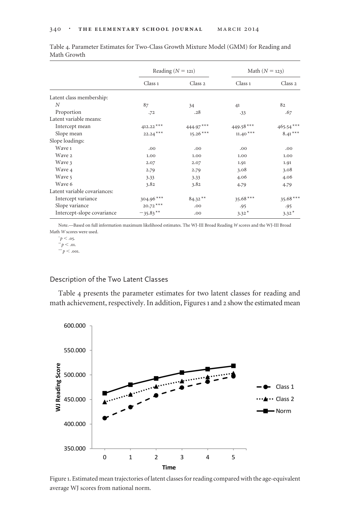|                              | Reading $(N = 121)$ |            |                    | Math $(N = 123)$ |
|------------------------------|---------------------|------------|--------------------|------------------|
|                              | Class <sub>1</sub>  | Class 2    | Class <sub>1</sub> | Class 2          |
| Latent class membership:     |                     |            |                    |                  |
| N                            | 87                  | 34         | 41                 | 82               |
| Proportion                   | .72                 | .28        | $-33$              | .67              |
| Latent variable means:       |                     |            |                    |                  |
| Intercept mean               | $412.22$ ***        | 444.97***  | 449.58 ***         | $465.54***$      |
| Slope mean                   | $22.24***$          | $15.26***$ | $11.40***$         | $8.41***$        |
| Slope loadings:              |                     |            |                    |                  |
| Wave 1                       | .00                 | .00        | .00                | .00              |
| Wave 2                       | 1.00                | 1.00       | 1.00               | 1.00             |
| Wave 3                       | 2.07                | 2.07       | 1.91               | 1.91             |
| Wave 4                       | 2.79                | 2.79       | 3.08               | 3.08             |
| Wave 5                       | 3.33                | 3.33       | 4.06               | 4.06             |
| Wave 6                       | 3.82                | 3.82       | 4.79               | 4.79             |
| Latent variable covariances: |                     |            |                    |                  |
| Intercept variance           | $304.96***$         | $84.32**$  | $35.68***$         | $35.68***$       |
| Slope variance               | $20.72***$          | .00        | .95                | .95              |
| Intercept-slope covariance   | $-35.83**$          | .00        | $3.32*$            | $3.32*$          |

Table 4. Parameter Estimates for Two-Class Growth Mixture Model (GMM) for Reading and Math Growth

Note.—Based on full information maximum likelihood estimates. The WJ-III Broad Reading *W* scores and the WJ-III Broad Math *W* scores were used.

 $p < .05$ . *\*\* p* .01.  $\sum_{n=1}^{n} p < .001$ .

# Description of the Two Latent Classes

Table 4 presents the parameter estimates for two latent classes for reading and math achievement, respectively. In addition, Figures 1 and 2 show the estimated mean



Figure 1. Estimated mean trajectories of latent classes for reading compared with the age-equivalent average WJ scores from national norm.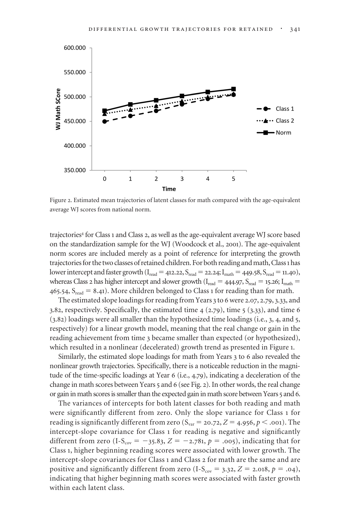

Figure 2. Estimated mean trajectories of latent classes for math compared with the age-equivalent average WJ scores from national norm.

trajectories<sup>4</sup> for Class 1 and Class 2, as well as the age-equivalent average WJ score based on the standardization sample for the WJ (Woodcock et al., 2001). The age-equivalent norm scores are included merely as a point of reference for interpreting the growth trajectories for the two classes of retained children. For both reading and math, Class 1 has lower intercept and faster growth ( $I_{\text{read}} = 412.22$ ,  $S_{\text{read}} = 22.24$ ;  $I_{\text{match}} = 449.58$ ,  $S_{\text{read}} = 11.40$ ), whereas Class 2 has higher intercept and slower growth ( $I_{read} = 444.97$ ,  $S_{read} = 15.26$ ;  $I_{math} =$ 465.54,  $S_{read} = 8.41$ ). More children belonged to Class 1 for reading than for math.

The estimated slope loadings for reading from Years 3 to 6 were 2.07, 2.79, 3.33, and 3.82, respectively. Specifically, the estimated time  $4$  (2.79), time  $5$  (3.33), and time 6 (3.82) loadings were all smaller than the hypothesized time loadings (i.e., 3, 4, and 5, respectively) for a linear growth model, meaning that the real change or gain in the reading achievement from time 3 became smaller than expected (or hypothesized), which resulted in a nonlinear (decelerated) growth trend as presented in Figure 1.

Similarly, the estimated slope loadings for math from Years 3 to 6 also revealed the nonlinear growth trajectories. Specifically, there is a noticeable reduction in the magnitude of the time-specific loadings at Year 6 (i.e., 4.79), indicating a deceleration of the change in math scores between Years 5 and 6 (see Fig. 2). In other words, the real change or gain in math scores is smaller than the expected gain in math score between Years 5 and 6.

The variances of intercepts for both latent classes for both reading and math were significantly different from zero. Only the slope variance for Class 1 for reading is significantly different from zero ( $S_{var} = 20.72$ ,  $Z = 4.956$ ,  $p < .001$ ). The intercept-slope covariance for Class 1 for reading is negative and significantly different from zero (I-S<sub>cov</sub> =  $-35.83$ ,  $Z = -2.781$ ,  $p = .005$ ), indicating that for Class 1, higher beginning reading scores were associated with lower growth. The intercept-slope covariances for Class 1 and Class 2 for math are the same and are positive and significantly different from zero  $(I-S_{cov} = 3.32, Z = 2.018, p = .04)$ , indicating that higher beginning math scores were associated with faster growth within each latent class.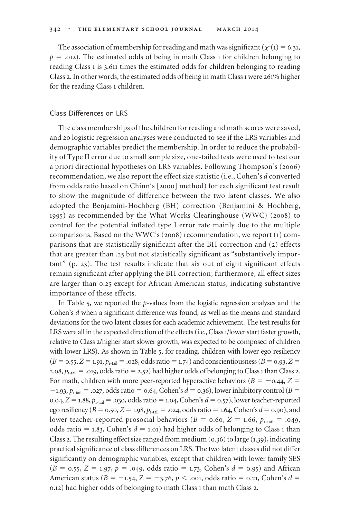The association of membership for reading and math was significant ( $\chi^2(1) = 6.31$ ,  $p = .012$ ). The estimated odds of being in math Class 1 for children belonging to reading Class 1 is 3.611 times the estimated odds for children belonging to reading Class 2. In other words, the estimated odds of being in math Class 1 were 261% higher for the reading Class 1 children.

#### Class Differences on LRS

The class memberships of the children for reading and math scores were saved, and 20 logistic regression analyses were conducted to see if the LRS variables and demographic variables predict the membership. In order to reduce the probability of Type II error due to small sample size, one-tailed tests were used to test our a priori directional hypotheses on LRS variables. Following Thompson's (2006) recommendation, we also report the effect size statistic (i.e., Cohen's *d* converted from odds ratio based on Chinn's [2000] method) for each significant test result to show the magnitude of difference between the two latent classes. We also adopted the Benjamini-Hochberg (BH) correction (Benjamini & Hochberg, 1995) as recommended by the What Works Clearinghouse (WWC) (2008) to control for the potential inflated type I error rate mainly due to the multiple comparisons. Based on the WWC's (2008) recommendation, we report (1) comparisons that are statistically significant after the BH correction and (2) effects that are greater than .25 but not statistically significant as "substantively important" (p. 23). The test results indicate that six out of eight significant effects remain significant after applying the BH correction; furthermore, all effect sizes are larger than 0.25 except for African American status, indicating substantive importance of these effects.

In Table 5, we reported the *p*-values from the logistic regression analyses and the Cohen's *d* when a significant difference was found, as well as the means and standard deviations for the two latent classes for each academic achievement. The test results for LRS were all in the expected direction of the effects (i.e., Class 1/lower start faster growth, relative to Class 2/higher start slower growth, was expected to be composed of children with lower LRS). As shown in Table 5, for reading, children with lower ego resiliency  $(B = 0.55, Z = 1.91, p_{1-\text{tail}} = .028, \text{ odds ratio} = 1.74)$  and conscientiousness ( $B = 0.93, Z = 1.91$ 2.08,  $p_{1\text{-tail}} = .019$ , odds ratio = 2.52) had higher odds of belonging to Class 1 than Class 2. For math, children with more peer-reported hyperactive behaviors ( $B = -0.44$ ,  $Z =$  $-1.93, p_{1-\text{tail}} = .027, \text{ odds ratio} = 0.64, \text{Cohen's } d = 0.36$ ), lower inhibitory control (*B* = 0.04,  $Z = 1.88$ ,  $p_{1 \text{-tail}} = .030$ , odds ratio = 1.04, Cohen's  $d = 0.57$ ), lower teacher-reported ego resiliency ( $B = 0.50$ ,  $Z = 1.98$ ,  $p_{1-\text{tail}} = .024$ , odds ratio = 1.64, Cohen's  $d = 0.90$ ), and lower teacher-reported prosocial behaviors ( $B = 0.60$ ,  $Z = 1.66$ ,  $p_{1\text{-tail}} = .049$ , odds ratio  $= 1.83$ , Cohen's  $d = 1.01$  had higher odds of belonging to Class 1 than Class 2. The resulting effect size ranged from medium  $(0.36)$  to large  $(1.39)$ , indicating practical significance of class differences on LRS. The two latent classes did not differ significantly on demographic variables, except that children with lower family SES  $(B = 0.55, Z = 1.97, p = .049,$  odds ratio = 1.73, Cohen's  $d = 0.95$ ) and African American status (*B* = -1.54, *Z* = -3.76, *p* < .001, odds ratio = 0.21, Cohen's *d* = 0.12) had higher odds of belonging to math Class 1 than math Class 2.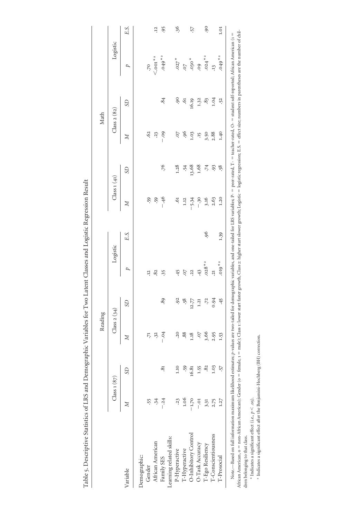|                          |             |                                      | Reading          |            |                  |      |                         |            |                | Math           |                     |            |
|--------------------------|-------------|--------------------------------------|------------------|------------|------------------|------|-------------------------|------------|----------------|----------------|---------------------|------------|
|                          |             | Class <sub>1</sub> (8 <sub>7</sub> ) | Class $2(34)$    |            | Logistic         |      | Class <sub>1</sub> (41) |            | Class 2 (82)   |                | Logistic            |            |
| Variable                 | ≳           | SD                                   | $\mathbb{Z}$     | <b>GS</b>  | p                | E.S. | Z                       | <b>GS</b>  | Z              | SD             | p                   | ES.        |
| Demographic:             |             |                                      |                  |            |                  |      |                         |            |                |                |                     |            |
| Gender                   | 55          |                                      | Ķ                |            | $\overline{12}$  |      | $\ddot{5}$              |            | .62            |                | $\sim$              |            |
| African American         | $\ddot{34}$ |                                      | 32               |            | .82              |      | 59                      |            | $\ddot{c}$     |                | $< .001**a$         | $\ddot{c}$ |
| Family SES               | $-0.24$     | $\overline{8}$                       | $-0.04$          | .89        | 35               |      | $-46$                   | $\sim$     | $-0.09$        | .84            | $^{10}$ + 6+0.      | 95         |
| Learning related skills: |             |                                      |                  |            |                  |      |                         |            |                |                |                     |            |
| P-Hyperactive            |             | 1.10                                 | $\ddot{c}$       | .92        | 45               |      | $\ddot{\circ}$          | 1.28       | $\overline{c}$ | 90             | $.027$ <sup>*</sup> | 36         |
| T-Hyperactive            | 1.06        | 59                                   | .88              | 58         | $\overline{c}$ . |      | 1.12                    | .54        | 96             | $\ddot{\circ}$ | -0.                 |            |
| O-Inhibitory Control     | $-1.70$     | 16.81                                | 1.18             | 12.77      | .22              |      | $-5.34$                 | 13.68      | 1.03           | 16.19          | $*030*$             | -57        |
| O-Task Accuracy          | $-0.1$      | 1.55                                 | $\overline{c}$ . | 1.21       | $\ddot{+}$       |      | $-0.30$                 | 1.68       | -15            | 1.32           | <b>60.</b>          |            |
| T-Ego Resiliency         | 3.31        | .82                                  | 3.66             | $\cdot$ 72 | $.028**a$        | 96.  | 3.16                    | $\ddot{z}$ | 3.50           | $\ddot{s}$     | $.024**a$           | 90         |
| T-Conscientiousness      | 2.75        | 1.03                                 | 2.95             | 0.94       | $\ddot{5}$       |      | 2.63                    | $\ddot{6}$ | 2.88           | 1.04           | $\ddot{1}$          |            |
| T-Prosocial              | 1.27        | -57                                  | 1.53             | $\ddot{ }$ | $^{*}_{*}$ 6ro.  | 1.39 | 1.20                    | 58.        | 1.40           | 52             | $^{*}_{*}$ 670.     | 1.01       |

Table 5. Descriptive Statistics of LRS and Demographic Variables for Two Latent Classes and Logistic Regression Result Table 5. Descriptive Statistics of LRS and Demographic Variables for Two Latent Classes and Logistic Regression Result

African American, o = non-African American); Gender (o = female, 1 = male); Class 1: lower start faster growth, Class 2: higher start slower growth; Logistic = logistic = logistic = effect size; numbers in parentheses are African American American); Gender (o = female, 1 = male); Class 1 lower start faster growth, Class 2: higher start slower growth; Logistic = logistic regression; E.S. = effect size; numbers in parentheses are the number o Note.—Based on full information maximum likelihood estimates; p-values are two-tailed for demographic variables, and one-tailed for LRS variables; P = peer-rated, T- = teacher-rated, O- = student self-reported; African Ame dren belonging to that class. dren belonging to that class.

\* Indicates a significant effect (i.e.,  $p < .05$ ).  $*$  Indicates a significant effect (i.e.,  $p < .05$ ).

<sup>a</sup> Indicates a significant effect after the Benjamini-Hochberg (BH) correction. Indicates a significant effect after the Benjamini-Hochberg (BH) correction.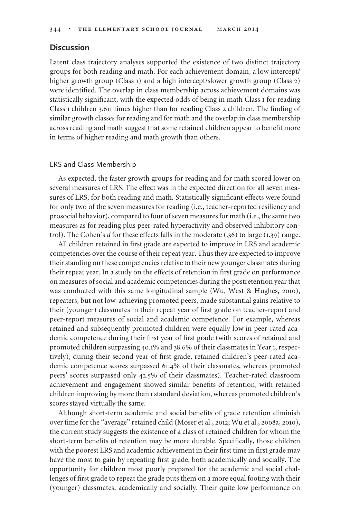# **Discussion**

Latent class trajectory analyses supported the existence of two distinct trajectory groups for both reading and math. For each achievement domain, a low intercept/ higher growth group (Class 1) and a high intercept/slower growth group (Class 2) were identified. The overlap in class membership across achievement domains was statistically significant, with the expected odds of being in math Class 1 for reading Class 1 children 3.611 times higher than for reading Class 2 children. The finding of similar growth classes for reading and for math and the overlap in class membership across reading and math suggest that some retained children appear to benefit more in terms of higher reading and math growth than others.

#### LRS and Class Membership

As expected, the faster growth groups for reading and for math scored lower on several measures of LRS. The effect was in the expected direction for all seven measures of LRS, for both reading and math. Statistically significant effects were found for only two of the seven measures for reading (i.e., teacher-reported resiliency and prosocial behavior), compared to four of seven measures for math (i.e., the same two measures as for reading plus peer-rated hyperactivity and observed inhibitory control). The Cohen's *d* for these effects falls in the moderate (.36) to large (1.39) range.

All children retained in first grade are expected to improve in LRS and academic competencies over the course of their repeat year. Thus they are expected to improve their standing on these competencies relative to their new younger classmates during their repeat year. In a study on the effects of retention in first grade on performance on measures of social and academic competencies during the postretention year that was conducted with this same longitudinal sample (Wu, West & Hughes, 2010), repeaters, but not low-achieving promoted peers, made substantial gains relative to their (younger) classmates in their repeat year of first grade on teacher-report and peer-report measures of social and academic competence. For example, whereas retained and subsequently promoted children were equally low in peer-rated academic competence during their first year of first grade (with scores of retained and promoted children surpassing 40.1% and 38.6% of their classmates in Year 1, respectively), during their second year of first grade, retained children's peer-rated academic competence scores surpassed 61.4% of their classmates, whereas promoted peers' scores surpassed only 42.5% of their classmates). Teacher-rated classroom achievement and engagement showed similar benefits of retention, with retained children improving by more than 1standard deviation, whereas promoted children's scores stayed virtually the same.

Although short-term academic and social benefits of grade retention diminish over time for the "average" retained child (Moser et al., 2012; Wu et al., 2008a, 2010), the current study suggests the existence of a class of retained children for whom the short-term benefits of retention may be more durable. Specifically, those children with the poorest LRS and academic achievement in their first time in first grade may have the most to gain by repeating first grade, both academically and socially. The opportunity for children most poorly prepared for the academic and social challenges of first grade to repeat the grade puts them on a more equal footing with their (younger) classmates, academically and socially. Their quite low performance on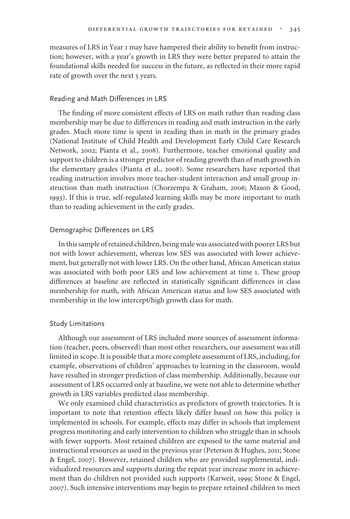measures of LRS in Year 1 may have hampered their ability to benefit from instruction; however, with a year's growth in LRS they were better prepared to attain the foundational skills needed for success in the future, as reflected in their more rapid rate of growth over the next 5 years.

#### Reading and Math Differences in LRS

The finding of more consistent effects of LRS on math rather than reading class membership may be due to differences in reading and math instruction in the early grades. Much more time is spent in reading than in math in the primary grades (National Institute of Child Health and Development Early Child Care Research Network, 2002; Pianta et al., 2008). Furthermore, teacher emotional quality and support to children is a stronger predictor of reading growth than of math growth in the elementary grades (Pianta et al., 2008). Some researchers have reported that reading instruction involves more teacher-student interaction and small group instruction than math instruction (Chorzempa & Graham, 2006; Mason & Good, 1993). If this is true, self-regulated learning skills may be more important to math than to reading achievement in the early grades.

#### Demographic Differences on LRS

In this sample of retained children, being male was associated with poorer LRS but not with lower achievement, whereas low SES was associated with lower achievement, but generally not with lower LRS. On the other hand, African American status was associated with both poor LRS and low achievement at time 1. These group differences at baseline are reflected in statistically significant differences in class membership for math, with African American status and low SES associated with membership in the low intercept/high growth class for math.

#### Study Limitations

Although our assessment of LRS included more sources of assessment information (teacher, peers, observed) than most other researchers, our assessment was still limited in scope. It is possible that a more complete assessment of LRS, including, for example, observations of children' approaches to learning in the classroom, would have resulted in stronger prediction of class membership. Additionally, because our assessment of LRS occurred only at baseline, we were not able to determine whether growth in LRS variables predicted class membership.

We only examined child characteristics as predictors of growth trajectories. It is important to note that retention effects likely differ based on how this policy is implemented in schools. For example, effects may differ in schools that implement progress monitoring and early intervention to children who struggle than in schools with fewer supports. Most retained children are exposed to the same material and instructional resources as used in the previous year (Peterson & Hughes, 2011; Stone & Engel, 2007). However, retained children who are provided supplemental, individualized resources and supports during the repeat year increase more in achievement than do children not provided such supports (Karweit, 1999; Stone & Engel, 2007). Such intensive interventions may begin to prepare retained children to meet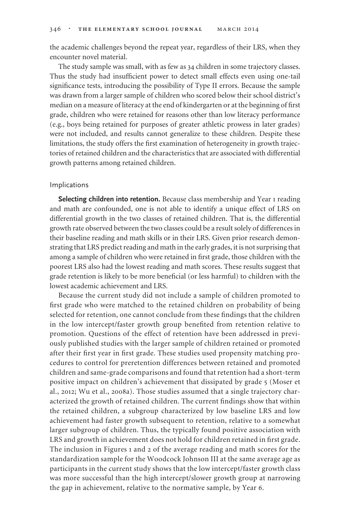the academic challenges beyond the repeat year, regardless of their LRS, when they encounter novel material.

The study sample was small, with as few as 34 children in some trajectory classes. Thus the study had insufficient power to detect small effects even using one-tail significance tests, introducing the possibility of Type II errors. Because the sample was drawn from a larger sample of children who scored below their school district's median on a measure of literacy at the end of kindergarten or at the beginning of first grade, children who were retained for reasons other than low literacy performance (e.g., boys being retained for purposes of greater athletic prowess in later grades) were not included, and results cannot generalize to these children. Despite these limitations, the study offers the first examination of heterogeneity in growth trajectories of retained children and the characteristics that are associated with differential growth patterns among retained children.

#### Implications

**Selecting children into retention.** Because class membership and Year 1 reading and math are confounded, one is not able to identify a unique effect of LRS on differential growth in the two classes of retained children. That is, the differential growth rate observed between the two classes could be a result solely of differences in their baseline reading and math skills or in their LRS. Given prior research demonstrating that LRS predict reading and math in the early grades, it is not surprising that among a sample of children who were retained in first grade, those children with the poorest LRS also had the lowest reading and math scores. These results suggest that grade retention is likely to be more beneficial (or less harmful) to children with the lowest academic achievement and LRS.

Because the current study did not include a sample of children promoted to first grade who were matched to the retained children on probability of being selected for retention, one cannot conclude from these findings that the children in the low intercept/faster growth group benefited from retention relative to promotion. Questions of the effect of retention have been addressed in previously published studies with the larger sample of children retained or promoted after their first year in first grade. These studies used propensity matching procedures to control for preretention differences between retained and promoted children and same-grade comparisons and found that retention had a short-term positive impact on children's achievement that dissipated by grade 5 (Moser et al., 2012; Wu et al., 2008a). Those studies assumed that a single trajectory characterized the growth of retained children. The current findings show that within the retained children, a subgroup characterized by low baseline LRS and low achievement had faster growth subsequent to retention, relative to a somewhat larger subgroup of children. Thus, the typically found positive association with LRS and growth in achievement does not hold for children retained in first grade. The inclusion in Figures 1 and 2 of the average reading and math scores for the standardization sample for the Woodcock Johnson III at the same average age as participants in the current study shows that the low intercept/faster growth class was more successful than the high intercept/slower growth group at narrowing the gap in achievement, relative to the normative sample, by Year 6.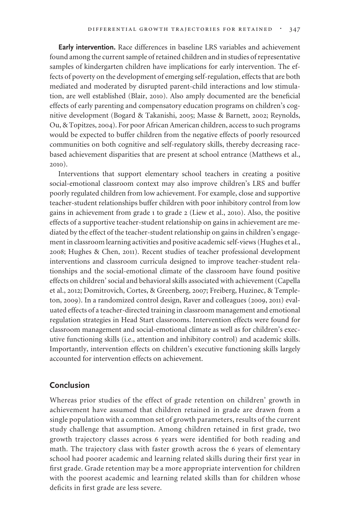**Early intervention.** Race differences in baseline LRS variables and achievement found among the current sample of retained children and in studies of representative samples of kindergarten children have implications for early intervention. The effects of poverty on the development of emerging self-regulation, effects that are both mediated and moderated by disrupted parent-child interactions and low stimulation, are well established (Blair, 2010). Also amply documented are the beneficial effects of early parenting and compensatory education programs on children's cognitive development (Bogard & Takanishi, 2005; Masse & Barnett, 2002; Reynolds, Ou, & Topitzes, 2004). For poor African American children, access to such programs would be expected to buffer children from the negative effects of poorly resourced communities on both cognitive and self-regulatory skills, thereby decreasing racebased achievement disparities that are present at school entrance (Matthews et al., 2010).

Interventions that support elementary school teachers in creating a positive social-emotional classroom context may also improve children's LRS and buffer poorly regulated children from low achievement. For example, close and supportive teacher-student relationships buffer children with poor inhibitory control from low gains in achievement from grade 1 to grade 2 (Liew et al., 2010). Also, the positive effects of a supportive teacher-student relationship on gains in achievement are mediated by the effect of the teacher-student relationship on gains in children's engagement in classroom learning activities and positive academic self-views (Hughes et al., 2008; Hughes & Chen, 2011). Recent studies of teacher professional development interventions and classroom curricula designed to improve teacher-student relationships and the social-emotional climate of the classroom have found positive effects on children' social and behavioral skills associated with achievement (Capella et al., 2012; Domitrovich, Cortes, & Greenberg, 2007; Freiberg, Huzinec, & Templeton, 2009). In a randomized control design, Raver and colleagues (2009, 2011) evaluated effects of a teacher-directed training in classroom management and emotional regulation strategies in Head Start classrooms. Intervention effects were found for classroom management and social-emotional climate as well as for children's executive functioning skills (i.e., attention and inhibitory control) and academic skills. Importantly, intervention effects on children's executive functioning skills largely accounted for intervention effects on achievement.

# **Conclusion**

Whereas prior studies of the effect of grade retention on children' growth in achievement have assumed that children retained in grade are drawn from a single population with a common set of growth parameters, results of the current study challenge that assumption. Among children retained in first grade, two growth trajectory classes across 6 years were identified for both reading and math. The trajectory class with faster growth across the 6 years of elementary school had poorer academic and learning related skills during their first year in first grade. Grade retention may be a more appropriate intervention for children with the poorest academic and learning related skills than for children whose deficits in first grade are less severe.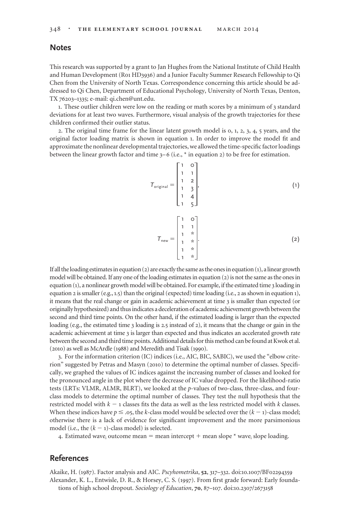# **Notes**

This research was supported by a grant to Jan Hughes from the National Institute of Child Health and Human Development (R01 HD3936) and a Junior Faculty Summer Research Fellowship to Qi Chen from the University of North Texas. Correspondence concerning this article should be addressed to Qi Chen, Department of Educational Psychology, University of North Texas, Denton, TX 76203–1335; e-mail: qi.chen@unt.edu.

1. These outlier children were low on the reading or math scores by a minimum of 3 standard deviations for at least two waves. Furthermore, visual analysis of the growth trajectories for these children confirmed their outlier status.

2. The original time frame for the linear latent growth model is  $0, 1, 2, 3, 4, 5$  years, and the original factor loading matrix is shown in equation 1. In order to improve the model fit and approximate the nonlinear developmental trajectories, we allowed the time-specific factor loadings between the linear growth factor and time  $3-6$  (i.e.,  $*$  in equation 2) to be free for estimation.

$$
T_{\text{original}} = \begin{bmatrix} 1 & 0 \\ 1 & 1 \\ 1 & 2 \\ 1 & 3 \\ 1 & 4 \\ 1 & 5 \end{bmatrix}, \tag{1}
$$
\n
$$
T_{\text{new}} = \begin{bmatrix} 1 & 0 \\ 1 & 1 \\ 1 & * \\ 1 & * \\ 1 & * \\ 1 & * \end{bmatrix}.
$$
\n
$$
(2)
$$

If all the loading estimates in equation  $(2)$  are exactly the same as the ones in equation  $(1)$ , a linear growth model will be obtained. If any one of the loading estimates in equation (2) is not the same as the ones in equation (1), a nonlinear growth model will be obtained. For example, if the estimated time 3loading in equation 2 is smaller (e.g., 1.5) than the original (expected) time loading (i.e., 2 as shown in equation 1), it means that the real change or gain in academic achievement at time 3 is smaller than expected (or originally hypothesized) and thusindicates a deceleration of academic achievement growth between the second and third time points. On the other hand, if the estimated loading is larger than the expected loading (e.g., the estimated time 3 loading is 2.5 instead of 2), it means that the change or gain in the academic achievement at time 3 is larger than expected and thus indicates an accelerated growth rate between the second and third time points. Additional details for this method can be found at Kwok et al. (2010) as well as McArdle (1988) and Meredith and Tisak (1990).

3. For the information criterion (IC) indices (i.e., AIC, BIC, SABIC), we used the "elbow criterion" suggested by Petras and Masyn (2010) to determine the optimal number of classes. Specifically, we graphed the values of IC indices against the increasing number of classes and looked for the pronounced angle in the plot where the decrease of IC value dropped. For the likelihood-ratio tests (LRTs: VLMR, ALMR, BLRT), we looked at the *p*-values of two-class, three-class, and fourclass models to determine the optimal number of classes. They test the null hypothesis that the restricted model with  $k - 1$  classes fits the data as well as the less restricted model with *k* classes. When these indices have  $p \leq .05$ , the *k*-class model would be selected over the  $(k - 1)$ -class model; otherwise there is a lack of evidence for significant improvement and the more parsimonious model (i.e., the  $(k - 1)$ -class model) is selected.

4. Estimated wave<sub>i</sub> outcome mean = mean intercept + mean slope \* wave<sub>i</sub> slope loading.

# **References**

Akaike, H. (1987). Factor analysis and AIC. *Pscyhometrika*, **52**, 317–332. doi:10.1007/BF02294359 Alexander, K. L., Entwisle, D. R., & Horsey, C. S. (1997). From first grade forward: Early foundations of high school dropout. *Sociology of Education*, **70**, 87–107. doi:10.2307/2673158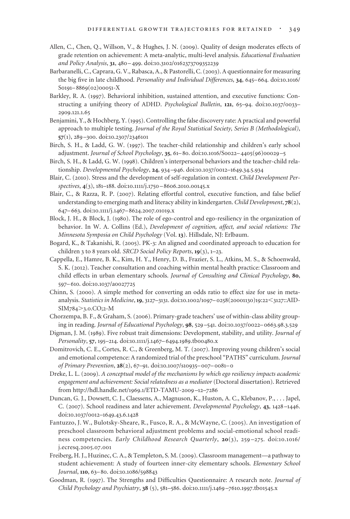- Allen, C., Chen, Q., Willson, V., & Hughes, J. N. (2009). Quality of design moderates effects of grade retention on achievement: A meta-analytic, multi-level analysis. *Educational Evaluation and Policy Analysis*, **31**, 480–499. doi:10.3102/0162373709352239
- Barbaranelli, C., Caprara, G. V., Rabasca, A., & Pastorelli, C. (2003). A questionnaire for measuring the big five in late childhood. *Personality and Individual Differences*, **34**, 645–664. doi:10.1016/ S0191–8869(02)00051-X
- Barkley, R. A. (1997). Behavioral inhibition, sustained attention, and executive functions: Constructing a unifying theory of ADHD. *Psychological Bulletin*, **121**, 65–94. doi:10.1037/0033– 2909.121.1.65
- Benjamini, Y., & Hochberg, Y. (1995). Controlling the false discovery rate: A practical and powerful approach to multiple testing. *Journal of the Royal Statistical Society, Series B (Methodological)*, **57**(1), 289–300. doi:10.2307/2346101
- Birch, S. H., & Ladd, G. W. (1997). The teacher-child relationship and children's early school adjustment. *Journal of School Psychology*, **35**, 61–80. doi:10.1016/S0022–4405(96)00029–5
- Birch, S. H., & Ladd, G. W. (1998). Children's interpersonal behaviors and the teacher-child relationship. *Developmental Psychology*, **24**, 934–946. doi:10.1037/0012–1649.34.5.934
- Blair, C. (2010). Stress and the development of self-regulation in context. *Child Development Perspectives*, **4**(3), 181–188. doi:10.1111/j.1750–8606.2010.00145.x
- Blair, C., & Razza, R. P. (2007). Relating effortful control, executive function, and false belief understanding to emerging math and literacy ability in kindergarten. *Child Development*, **78**(2), 647–663. doi:10.1111/j.1467–8624.2007.01019.x
- Block, J. H., & Block, J. (1980). The role of ego-control and ego-resiliency in the organization of behavior. In W. A. Collins (Ed.), *Development of cognition, affect, and social relations: The Minnesota Symposia on Child Psychology* (Vol. **13**). Hillsdale, NJ: Erlbaum.
- Bogard, K., & Takanishi, R. (2005). PK-3: An aligned and coordinated approach to education for children 3 to 8 years old. *SRCD Social Policy Reports*, **19**(3), 1–23.
- Cappella, E., Hamre, B. K., Kim, H. Y., Henry, D. B., Frazier, S. L., Atkins, M. S., & Schoenwald, S. K. (2012). Teacher consultation and coaching within mental health practice: Classroom and child effects in urban elementary schools. *Journal of Consulting and Clinical Psychology*, **80**, 597–610. doi:10.1037/a0027725
- Chinn, S. (2000). A simple method for converting an odds ratio to effect size for use in metaanalysis. *Statistics in Medicine*, **19**,3127–3131. doi:10.1002/1097–0258(20001130)19:223127::AID-SIM784>3.o.CO;2-M
- Chorzempa, B. F., & Graham, S. (2006). Primary-grade teachers' use of within-class ability grouping in reading. *Journal of Educational Psychology*, **98**, 529–541. doi:10.1037/0022–0663.98.3.529
- Digman, J. M. (1989). Five robust trait dimensions: Development, stability, and utility. *Journal of Personality*, **57**, 195–214. doi:10.1111/j.1467–6494.1989.tb00480.x
- Domitrovich, C. E., Cortes, R. C., & Greenberg, M. T. (2007). Improving young children's social and emotional competence: A randomized trial of the preschool "PATHS" curriculum. *Journal of Primary Prevention*, **28**(2), 67–91. doi:10.1007/s10935–007–0081–0
- Dreke, L. L. (2009). *A conceptual model of the mechanisms by which ego resiliency impacts academic engagement and achievement: Social relatedness as a mediator* (Doctoral dissertation). Retrieved from [http://hdl.handle.net/](http://hdl.handle.net/1969.1/ETD-TAMU-2009-12-7286)1969.1/ETD-TAMU-2009–12–7286
- Duncan, G. J., Dowsett, C. J., Claessens, A., Magnuson, K., Huston, A. C., Klebanov, P., . . . Japel, C. (2007). School readiness and later achievement. *Developmental Psychology*, **43**, 1428–1446. doi:10.1037/0012–1649.43.6.1428
- Fantuzzo, J. W., Bulotsky-Sheare, R., Fusco, R. A., & McWayne, C. (2005). An investigation of preschool classroom behavioral adjustment problems and social-emotional school readiness competencies. *Early Childhood Research Quarterly*, **20**(3), 259 –275. doi:10.1016/ j.ecresq.2005.07.001
- Freiberg, H. J., Huzinec, C. A., & Templeton, S. M. (2009). Classroom management—a pathway to student achievement: A study of fourteen inner-city elementary schools. *Elementary School Journal*, **110**, 63–80. doi:10.1086/598843
- Goodman, R. (1997). The Strengths and Difficulties Questionnaire: A research note. *Journal of Child Psychology and Psychiatry*, **38** (5), 581–586. doi:10.1111/j.1469–7610.1997.tb01545.x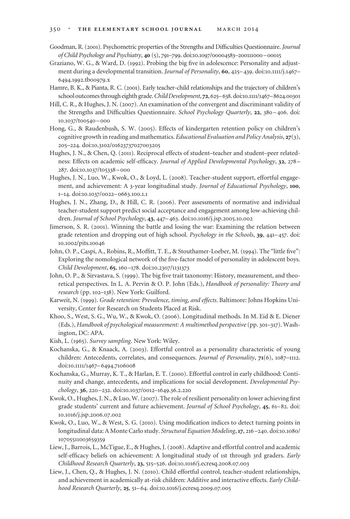- Goodman, R. (2001). Psychometric properties of the Strengths and Difficulties Questionnaire. *Journal of Child Psychology and Psychiatry*, **40** (5), 791–799. doi:10.1097/00004583–200111000–00015
- Graziano, W. G., & Ward, D. (1992). Probing the big five in adolescence: Personality and adjustment during a developmental transition. *Journal of Personality*, **60**, 425–439. doi:10.1111/j.1467– 6494.1992.tb00979.x
- Hamre, B. K., & Pianta, R. C. (2001). Early teacher-child relationships and the trajectory of children's school outcomes through eighth grade.*Child Development*, **72**, 625–638. doi:10.1111/1467–8624.00301
- Hill, C. R., & Hughes, J. N. (2007). An examination of the convergent and discriminant validity of the Strengths and Difficulties Questionnaire. *School Psychology Quarterly*, **22**, 380–406. doi: 10.1037/t00540–000
- Hong, G., & Raudenbush, S. W. (2005). Effects of kindergarten retention policy on children's cognitive growth in reading and mathematics. *Educational Evaluation and Policy Analysis*, **27**(3), 205–224. doi:10.3102/01623737027003205
- Hughes, J. N., & Chen, Q. (2011). Reciprocal effects of student–teacher and student–peer relatedness: Effects on academic self-efficacy. *Journal of Applied Developmental Psychology*, **32**, 278– 287. doi:10.1037/t05338–000
- Hughes, J. N., Luo, W., Kwok, O., & Loyd, L. (2008). Teacher-student support, effortful engagement, and achievement: A 3-year longitudinal study. *Journal of Educational Psychology*, **100**, 1–14. doi:10.1037/0022–0663.100.1.1
- Hughes, J. N., Zhang, D., & Hill, C. R. (2006). Peer assessments of normative and individual teacher-student support predict social acceptance and engagement among low-achieving children. *Journal of School Psychology*, **43**, 447–463. doi:10.1016/j.jsp.2005.10.002
- Jimerson, S. R. (2001). Winning the battle and losing the war: Examining the relation between grade retention and dropping out of high school. *Psychology in the Schools*, **39**, 441–457. doi: 10.1002/pits.10046
- John, O. P., Caspi, A., Robins, R., Moffitt, T. E., & Stouthamer-Loeber, M. (1994). The "little five": Exploring the nomological network of the five-factor model of personality in adolescent boys. *Child Development*, **65**, 160–178. doi:10.2307/1131373
- John, O. P., & Sirvastava, S. (1999). The big five trait taxonomy: History, measurement, and theoretical perspectives. In L. A. Pervin & O. P. John (Eds.), *Handbook of personality: Theory and research* (pp. 102–138). New York: Guilford.
- Karweit, N. (1999). *Grade retention: Prevalence, timing, and effects*. Baltimore: Johns Hopkins University, Center for Research on Students Placed at Risk.
- Khoo, S., West, S. G., Wu, W., & Kwok, O. (2006). Longitudinal methods. In M. Eid & E. Diener (Eds.), *Handbook of psychological measurement: A multimethod perspective*(pp.301–317). Washington, DC: APA.
- Kish, L. (1965). *Survey sampling*. New York: Wiley.
- Kochanska, G., & Knaack, A. (2003). Effortful control as a personality characteristic of young children: Antecedents, correlates, and consequences. *Journal of Personality*, **71**(6), 1087–1112. doi:10.1111/1467–6494.7106008
- Kochanska, G., Murray, K. T., & Harlan, E. T. (2000). Effortful control in early childhood: Continuity and change, antecedents, and implications for social development. *Developmental Psychology*, **36**, 220–232. doi:10.1037/0012–1649.36.2.220
- Kwok, O., Hughes, J. N., & Luo, W. (2007). The role of resilient personality on lower achieving first grade students' current and future achievement. *Journal of School Psychology*, **45**, 61–82. doi: 10.1016/j.jsp.2006.07.002
- Kwok, O., Luo, W., & West, S. G. (2010). Using modification indices to detect turning points in longitudinal data: A Monte Carlo study. *Structural Equation Modeling*,**17**, 216–240. doi:10.1080/ 10705511003659359
- Liew, J., Barrois, L., McTigue, E., & Hughes, J. (2008). Adaptive and effortful control and academic self-efficacy beliefs on achievement: A longitudinal study of 1st through 3rd graders. *Early Childhood Research Quarterly*, **23**, 515–526. doi:10.1016/j.ecresq.2008.07.003
- Liew, J., Chen, Q., & Hughes, J. N. (2010). Child effortful control, teacher-student relationships, and achievement in academically at-risk children: Additive and interactive effects. *Early Childhood Research Quarterly*, **25**, 51–64. doi:10.1016/j.ecresq.2009.07.005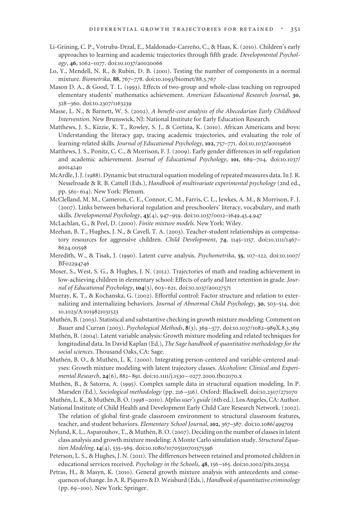- Li-Grining, C. P., Votruba-Drzal, E., Maldonado-Carreño, C., & Haas, K. (2010). Children's early approaches to learning and academic trajectories through fifth grade. *Developmental Psychology*, **46**, 1062–1077. doi:10.1037/a0020066
- Lo, Y., Mendell, N. R., & Rubin, D. B. (2001). Testing the number of components in a normal mixture. *Biometrika*, **88**, 767–778. doi:10.1093/biomet/88.3.767
- Mason D. A., & Good, T. L. (1993). Effects of two-group and whole-class teaching on regrouped elementary students' mathematics achievement. *American Educational Research Journal*, **30**, 328–360. doi:10.2307/1163239
- Masse, L. N., & Barnett, W. S. (2002). *A benefit-cost analysis of the Abecedarian Early Childhood Intervention*. New Brunswick, NJ: National Institute for Early Education Research.
- Matthews, J. S., Kizzie, K. T., Rowley, S. J., & Cortina, K. (2010). African Americans and boys: Understanding the literacy gap, tracing academic trajectories, and evaluating the role of learning-related skills. *Journal of Educational Psychology*, **102**, 757–771. doi:10.1037/a0019616
- Matthews, J. S., Ponitz, C. C., & Morrison, F. J. (2009). Early gender differences in self-regulation and academic achievement. *Journal of Educational Psychology*, **101**, 689–704. doi:10.1037/ a0014240
- McArdle, J. J. (1988). Dynamic but structural equation modeling of repeated measures data. In J. R. Nesselroade & R. B. Cattell (Eds.), *Handbook of multivariate experimental psychology* (2nd ed., pp. 561–614). New York: Plenum.
- McClelland, M. M., Cameron, C. E., Connor, C. M., Farris, C. L., Jewkes, A. M., & Morrison, F. J. (2007). Links between behavioral regulation and preschoolers' literacy, vocabulary, and math skills. *Developmental Psychology*, **43**(4), 947–959. doi:10.1037/0012–1649.43.4.947
- McLachlan, G., & Peel, D. (2000). *Finite mixture models*. New York: Wiley.
- Meehan, B. T., Hughes, J. N., & Cavell, T. A. (2003). Teacher-student relationships as compensatory resources for aggressive children. *Child Development*, **74**, 1145–1157. doi:10.1111/1467– 8624.00598
- Meredith, W., & Tisak, J. (1990). Latent curve analysis. *Psychometrika*, **55**, 107–122. doi:10.1007/ BF02294746
- Moser, S., West, S. G., & Hughes, J. N. (2012). Trajectories of math and reading achievement in low-achieving children in elementary school: Effects of early and later retention in grade. *Journal of Educational Psychology*, **104**(3), 603–621. doi:10.1037/a0027571
- Murray, K. T., & Kochanska, G. (2002). Effortful control: Factor structure and relation to externalizing and internalizing behaviors. *Journal of Abnormal Child Psychology*, **30**, 503–514. doi: 10.1023/A:1019821031523
- Muthén, B. (2003). Statistical and substantive checking in growth mixture modeling: Comment on Bauer and Curran (2003). *Psychological Methods*, **8**(3), 369–377. doi:10.1037/1082–989X.8.3.369
- Muthén, B. (2004). Latent variable analysis: Growth mixture modeling and related techniques for longitudinal data. In David Kaplan (Ed.), *The Sage handbook of quantitative methodology for the social sciences*. Thousand Oaks, CA: Sage.
- Muthén, B. O., & Muthén, L. K. (2000). Integrating person-centered and variable-centered analyses: Growth mixture modeling with latent trajectory classes. *Alcoholism: Clinical and Experimental Research*, **24**(6), 882–891. doi:10.1111/j.1530–0277.2000.tb02070.x
- Muthén, B., & Satorra, A. (1995). Complex sample data in structural equation modeling. In P. Marsden (Ed.), *Sociological methodology* (pp. 216–316). Oxford: Blackwell. doi:10.2307/271070
- Muthén, L. K., & Muthén, B. O. (1998–2010). *Mplus user's guide*(6th ed.). Los Angeles, CA: Author.
- National Institute of Child Health and Development Early Child Care Research Network. (2002). The relation of global first-grade classroom environment to structural classroom features, teacher, and student behaviors. *Elementary School Journal*, **102**, 367–387. doi:10.1086/499709
- Nylund, K. L., Asparouhov, T., & Muthén, B. O. (2007). Deciding on the number of classes in latent class analysis and growth mixture modeling: A Monte Carlo simulation study. *Structural Equation Modeling*, **14**(4), 535–569. doi:10.1080/10705510701575396
- Peterson, L. S., & Hughes, J. N. (2011). The differences between retained and promoted children in educational services received. *Psychology in the Schools*, **48**, 156–165. doi:10.1002/pits.20534
- Petras, H., & Masyn, K. (2010). General growth mixture analysis with antecedents and consequences of change. In A. R. Piquero & D.Weisburd (Eds.), *Handbook of quantitative criminology* (pp. 69–100). New York: Springer.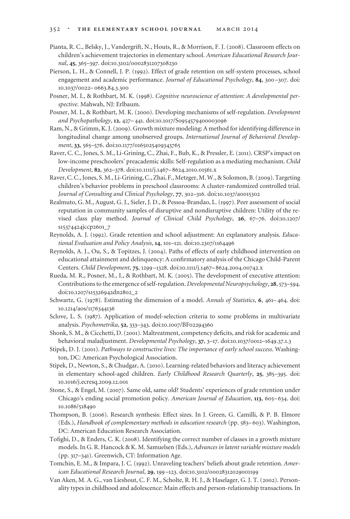- Pianta, R. C., Belsky, J., Vandergrift, N., Houts, R., & Morrison, F. J. (2008). Classroom effects on children's achievement trajectories in elementary school. *American Educational Research Journal*, **45**, 365–397. doi:10.3102/0002831207308230
- Pierson, L. H., & Connell, J. P. (1992). Effect of grade retention on self-system processes, school engagement and academic performance. *Journal of Educational Psychology*, **84**, 300–307. doi: 10.1037/0022–0663.84.3.300
- Posner, M. I., & Rothbart, M. K. (1998). *Cognitive neuroscience of attention: A developmental perspective*. Mahwah, NJ: Erlbaum.
- Posner, M. I., & Rothbart, M. K. (2000). Developing mechanisms of self-regulation. *Development and Psychopathology*, **12**, 427–441. doi:10.1017/S0954579400003096
- Ram, N., & Grimm, K. J. (2009). Growth mixture modeling: A method for identifying difference in longitudinal change among unobserved groups. *International Journal of Behavioral Development*, **33**, 565–576. doi:10.1177/0165025409343765
- Raver, C. C., Jones, S. M., Li-Grining, C., Zhai, F., Bub, K., & Pressler, E. (2011). CRSP's impact on low-income preschoolers' preacademic skills: Self-regulation as a mediating mechanism. *Child Development*, **82**, 362–378. doi:10.1111/j.1467–8624.2010.01561.x
- Raver, C. C., Jones, S. M., Li-Grining, C., Zhai, F., Metzger, M.W., & Solomon, B. (2009). Targeting children's behavior problems in preschool classrooms: A cluster-randomized controlled trial. *Journal of Consulting and Clinical Psychology*, **77**, 302–316. doi:10.1037/a0015302
- Realmuto, G. M., August, G. J., Sieler, J. D., & Pessoa-Brandao, L. (1997). Peer assessment of social reputation in community samples of disruptive and nondisruptive children: Utility of the revised class play method. *Journal of Clinical Child Psychology*, **26**, 67–76. doi:10.1207/ s15374424jccp2601\_7
- Reynolds, A. J. (1992). Grade retention and school adjustment: An explanatory analysis. *Educational Evaluation and Policy Analysis*, **14**, 101–121. doi:10.2307/1164496
- Reynolds, A. J., Ou, S., & Topitzes, J. (2004). Paths of effects of early childhood intervention on educational attainment and delinquency: A confirmatory analysis of the Chicago Child-Parent Centers. *Child Development*, **75**, 1299–1328. doi:10.1111/j.1467–8624.2004.00742.x
- Rueda, M. R., Posner, M., I., & Rothbart, M. K. (2005). The development of executive attention: Contributions to the emergence of self-regulation. *Developmental Neuropsychology*, **28**,573–594. doi:10.1207/s15326942dn2802\_2
- Schwartz, G. (1978). Estimating the dimension of a model. *Annals of Statistics*, **6**, 461–464. doi: 10.1214/aos/1176344136
- Sclove, L. S. (1987). Application of model-selection criteria to some problems in multivariate analysis. *Psychometrika*, **52**, 333–343. doi:10.1007/BF02294360
- Shonk, S. M., & Cicchetti, D. (2001). Maltreatment, competency deficits, and risk for academic and behavioral maladjustment. *Developmental Psychology*, **37**, 3–17. doi:10.1037/0012–1649.37.1.3
- Stipek, D. J. (2001). *Pathways to constructive lives: The importance of early school success*. Washington, DC: American Psychological Association.
- Stipek, D., Newton, S., & Chudgar, A. (2010). Learning-related behaviors and literacy achievement in elementary school-aged children. *Early Childhood Research Quarterly*, **25**, 385–395. doi: 10.1016/j.ecresq.2009.12.001
- Stone, S., & Engel, M. (2007). Same old, same old? Students' experiences of grade retention under Chicago's ending social promotion policy. *American Journal of Education*, **113**, 605–634. doi: 10.1086/518490
- Thompson, B. (2006). Research synthesis: Effect sizes. In J. Green, G. Camilli, & P. B. Elmore (Eds.), *Handbook of complementary methods in education research* (pp. 583–603). Washington, DC: American Education Research Association.
- Tofighi, D., & Enders, C. K. (2008). Identifying the correct number of classes in a growth mixture models. In G. R. Hancock & K. M. Samuelsen (Eds.), *Advances in latent variable mixture models* (pp. 317–341). Greenwich, CT: Information Age.
- Tomchin, E. M., & Impara, J. C. (1992). Unraveling teachers' beliefs about grade retention. *American Educational Research Journal*, **29**, 199–123. doi:10.3102/00028312029001199
- Van Aken, M. A. G., van Lieshout, C. F. M., Scholte, R. H. J., & Haselager, G. J. T. (2002). Personality types in childhood and adolescence: Main effects and person-relationship transactions. In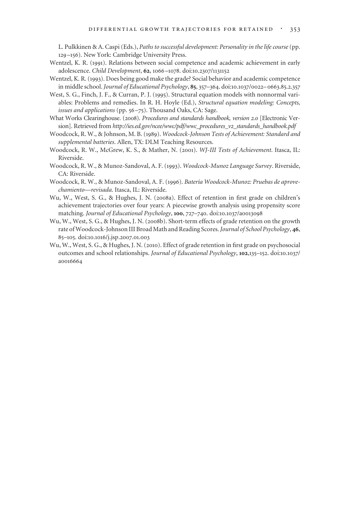L. Pulkkinen & A. Caspi (Eds.), *Paths to successful development: Personality in the life course*(pp. 129–156). New York: Cambridge University Press.

- Wentzel, K. R. (1991). Relations between social competence and academic achievement in early adolescence. *Child Development*, **62**, 1066–1078. doi:10.2307/1131152
- Wentzel, K. R. (1993). Does being good make the grade? Social behavior and academic competence in middle school. *Journal of Educational Psychology*, **85**,357–364. doi:10.1037/0022–0663.85.2.357
- West, S. G., Finch, J. F., & Curran, P. J. (1995). Structural equation models with nonnormal variables: Problems and remedies. In R. H. Hoyle (Ed.), *Structural equation modeling: Concepts, issues and applications* (pp. 56–75). Thousand Oaks, CA: Sage.
- What Works Clearinghouse. (2008). *Procedures and standards handbook, version 2.0* [Electronic Version]. Retrieved from *[http://ies.ed.gov/ncee/wwc/pdf/wwc\\_procedures\\_v](http://ies.ed.gov/ncee/wwc/pdf/wwc_procedures_v2_standards_handbook.pdf)2\_standards\_handbook.pdf*
- Woodcock, R. W., & Johnson, M. B. (1989). *Woodcock-Johnson Tests of Achievement: Standard and supplemental batteries*. Allen, TX: DLM Teaching Resources.
- Woodcock, R. W., McGrew, K. S., & Mather, N. (2001). *WJ-III Tests of Achievement*. Itasca, IL: Riverside.
- Woodcock, R. W., & Munoz-Sandoval, A. F. (1993). *Woodcock-Munoz Language Survey*. Riverside, CA: Riverside.
- Woodcock, R. W., & Munoz-Sandoval, A. F. (1996). *Batería Woodcock-Munoz: Pruebas de aprovechamiento—revisada*. Itasca, IL: Riverside.
- Wu, W., West, S. G., & Hughes, J. N. (2008a). Effect of retention in first grade on children's achievement trajectories over four years: A piecewise growth analysis using propensity score matching. *Journal of Educational Psychology*, **100**, 727–740. doi:10.1037/a0013098
- Wu, W., West, S. G., & Hughes, J. N. (2008b). Short-term effects of grade retention on the growth rate ofWoodcock-Johnson III Broad Math and Reading Scores.*Journal of School Psychology*, **46**, 85–105. doi:10.1016/j.jsp.2007.01.003
- Wu, W., West, S. G., & Hughes, J. N. (2010). Effect of grade retention in first grade on psychosocial outcomes and school relationships. *Journal of Educational Psychology*, **102**,135–152. doi:10.1037/ a0016664